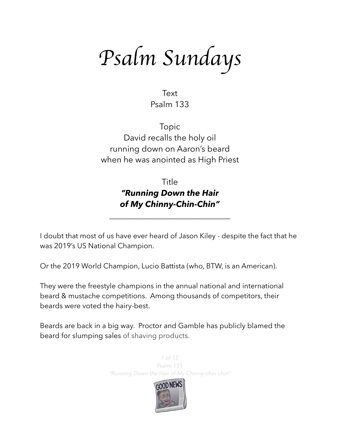*Psalm Sundays*

Text Psalm 133

Topic David recalls the holy oil running down on Aaron's beard when he was anointed as High Priest

# Title *"Running Down the Hair of My Chinny-Chin-Chin"*

\_\_\_\_\_\_\_\_\_\_\_\_\_\_\_\_\_\_\_\_\_\_\_\_\_\_\_\_\_

I doubt that most of us have ever heard of Jason Kiley - despite the fact that he was 2019's US National Champion.

Or the 2019 World Champion, Lucio Battista (who, BTW, is an American).

They were the freestyle champions in the annual national and international beard & mustache competitions. Among thousands of competitors, their beards were voted the hairy-best.

Beards are back in a big way. Proctor and Gamble has publicly blamed the beard for slumping sales of shaving products.

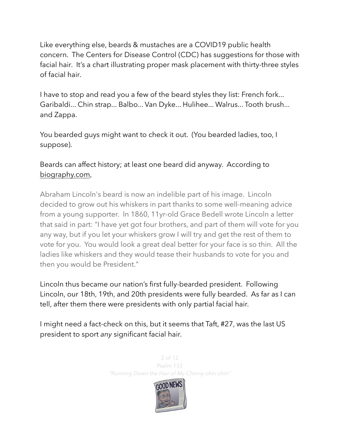Like everything else, beards & mustaches are a COVID19 public health concern. The Centers for Disease Control (CDC) has suggestions for those with facial hair. It's a chart illustrating proper mask placement with thirty-three styles of facial hair.

I have to stop and read you a few of the beard styles they list: French fork... Garibaldi... Chin strap... Balbo... Van Dyke... Hulihee... Walrus... Tooth brush... and Zappa.

You bearded guys might want to check it out. (You bearded ladies, too, I suppose).

Beards can affect history; at least one beard did anyway. According to [biography.com,](http://biography.com)

Abraham Lincoln's beard is now an indelible part of his image. Lincoln decided to grow out his whiskers in part thanks to some well-meaning advice from a young supporter. In 1860, 11yr-old Grace Bedell wrote Lincoln a letter that said in part: "I have yet got four brothers, and part of them will vote for you any way, but if you let your whiskers grow I will try and get the rest of them to vote for you. You would look a great deal better for your face is so thin. All the ladies like whiskers and they would tease their husbands to vote for you and then you would be President."

Lincoln thus became our nation's first fully-bearded president. Following Lincoln, our 18th, 19th, and 20th presidents were fully bearded. As far as I can tell, after them there were presidents with only partial facial hair.

I might need a fact-check on this, but it seems that Taft, #27, was the last US president to sport *any* significant facial hair.

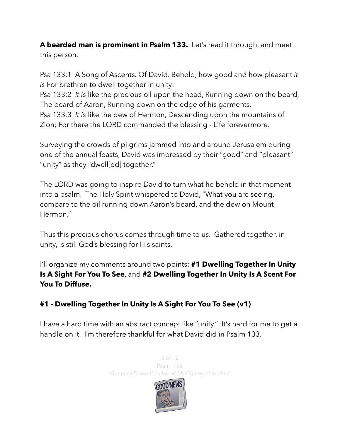**A bearded man is prominent in Psalm 133.** Let's read it through, and meet this person.

Psa 133:1 A Song of Ascents. Of David. Behold, how good and how pleasant *it is* For brethren to dwell together in unity!

Psa 133:2 *It is* like the precious oil upon the head, Running down on the beard, The beard of Aaron, Running down on the edge of his garments.

Psa 133:3 *It is* like the dew of Hermon, Descending upon the mountains of Zion; For there the LORD commanded the blessing - Life forevermore.

Surveying the crowds of pilgrims jammed into and around Jerusalem during one of the annual feasts, David was impressed by their "good" and "pleasant" "unity" as they "dwell[ed] together."

The LORD was going to inspire David to turn what he beheld in that moment into a psalm. The Holy Spirit whispered to David, "What you are seeing, compare to the oil running down Aaron's beard, and the dew on Mount Hermon."

Thus this precious chorus comes through time to us. Gathered together, in unity, is still God's blessing for His saints.

I'll organize my comments around two points: **#1 Dwelling Together In Unity Is A Sight For You To See**, and **#2 Dwelling Together In Unity Is A Scent For You To Diffuse.** 

## **#1 - Dwelling Together In Unity Is A Sight For You To See (v1)**

I have a hard time with an abstract concept like "unity." It's hard for me to get a handle on it. I'm therefore thankful for what David did in Psalm 133.



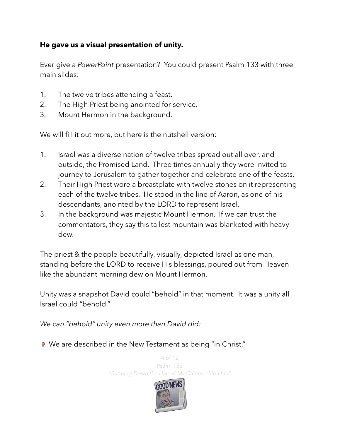#### **He gave us a visual presentation of unity.**

Ever give a *PowerPoint* presentation? You could present Psalm 133 with three main slides:

- 1. The twelve tribes attending a feast.
- 2. The High Priest being anointed for service.
- 3. Mount Hermon in the background.

We will fill it out more, but here is the nutshell version:

- 1. Israel was a diverse nation of twelve tribes spread out all over, and outside, the Promised Land. Three times annually they were invited to journey to Jerusalem to gather together and celebrate one of the feasts.
- 2. Their High Priest wore a breastplate with twelve stones on it representing each of the twelve tribes. He stood in the line of Aaron, as one of his descendants, anointed by the LORD to represent Israel.
- 3. In the background was majestic Mount Hermon. If we can trust the commentators, they say this tallest mountain was blanketed with heavy dew.

The priest & the people beautifully, visually, depicted Israel as one man, standing before the LORD to receive His blessings, poured out from Heaven like the abundant morning dew on Mount Hermon.

Unity was a snapshot David could "behold" in that moment. It was a unity all Israel could "behold."

*We can "behold" unity even more than David did:*

● We are described in the New Testament as being "in Christ."

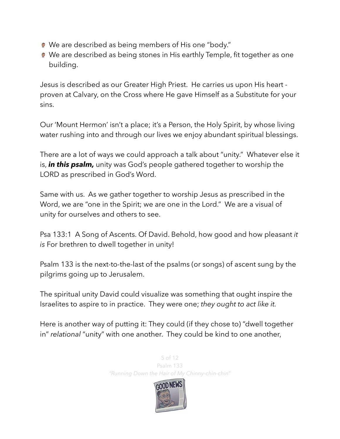- We are described as being members of His one "body."
- We are described as being stones in His earthly Temple, fit together as one building.

Jesus is described as our Greater High Priest. He carries us upon His heart proven at Calvary, on the Cross where He gave Himself as a Substitute for your sins.

Our 'Mount Hermon' isn't a place; it's a Person, the Holy Spirit, by whose living water rushing into and through our lives we enjoy abundant spiritual blessings.

There are a lot of ways we could approach a talk about "unity." Whatever else it is, *in this psalm,* unity was God's people gathered together to worship the LORD as prescribed in God's Word.

Same with us. As we gather together to worship Jesus as prescribed in the Word, we are "one in the Spirit; we are one in the Lord." We are a visual of unity for ourselves and others to see.

Psa 133:1 A Song of Ascents. Of David. Behold, how good and how pleasant *it is* For brethren to dwell together in unity!

Psalm 133 is the next-to-the-last of the psalms (or songs) of ascent sung by the pilgrims going up to Jerusalem.

The spiritual unity David could visualize was something that ought inspire the Israelites to aspire to in practice. They were one; *they ought to act like it.* 

Here is another way of putting it: They could (if they chose to) "dwell together in" *relational* "unity" with one another. They could be kind to one another,

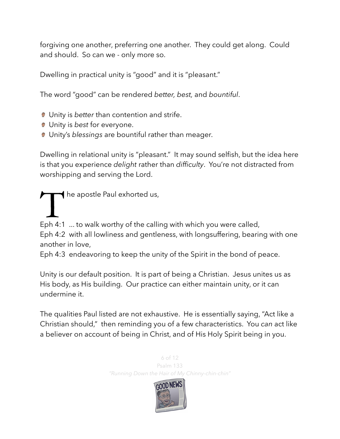forgiving one another, preferring one another. They could get along. Could and should. So can we - only more so.

Dwelling in practical unity is "good" and it is "pleasant."

The word "good" can be rendered *better, best,* and *bountiful*.

- **■** Unity is *better* than contention and strife.
- Unity is *best* for everyone.
- Unity's *blessings* are bountiful rather than meager.

Dwelling in relational unity is "pleasant." It may sound selfish, but the idea here is that you experience *delight* rather than *difficulty*. You're not distracted from worshipping and serving the Lord.

 $\blacktriangleleft$  he apostle Paul exhorted us,

Eph 4:1 ... to walk worthy of the calling with which you were called, Eph 4:2 with all lowliness and gentleness, with longsuffering, bearing with one another in love,

Eph 4:3 endeavoring to keep the unity of the Spirit in the bond of peace.

Unity is our default position. It is part of being a Christian. Jesus unites us as His body, as His building. Our practice can either maintain unity, or it can undermine it.

The qualities Paul listed are not exhaustive. He is essentially saying, "Act like a Christian should," then reminding you of a few characteristics. You *can* act like a believer on account of being in Christ, and of His Holy Spirit being in you.

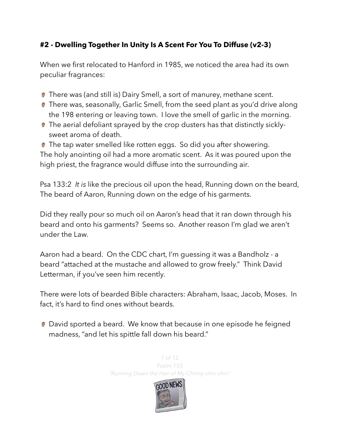### **#2 - Dwelling Together In Unity Is A Scent For You To Diffuse (v2-3)**

When we first relocated to Hanford in 1985, we noticed the area had its own peculiar fragrances:

- There was (and still is) Dairy Smell, a sort of manurey, methane scent.
- **There was, seasonally, Garlic Smell, from the seed plant as you'd drive along** the 198 entering or leaving town. I love the smell of garlic in the morning.
- **The aerial defoliant sprayed by the crop dusters has that distinctly sickly**sweet aroma of death.

The tap water smelled like rotten eggs. So did you after showering. The holy anointing oil had a more aromatic scent. As it was poured upon the high priest, the fragrance would diffuse into the surrounding air.

Psa 133:2 *It is* like the precious oil upon the head, Running down on the beard, The beard of Aaron, Running down on the edge of his garments.

Did they really pour so much oil on Aaron's head that it ran down through his beard and onto his garments? Seems so. Another reason I'm glad we aren't under the Law.

Aaron had a beard. On the CDC chart, I'm guessing it was a Bandholz - a beard "attached at the mustache and allowed to grow freely." Think David Letterman, if you've seen him recently.

There were lots of bearded Bible characters: Abraham, Isaac, Jacob, Moses. In fact, it's hard to find ones without beards.

● David sported a beard. We know that because in one episode he feigned madness, "and let his spittle fall down his beard."

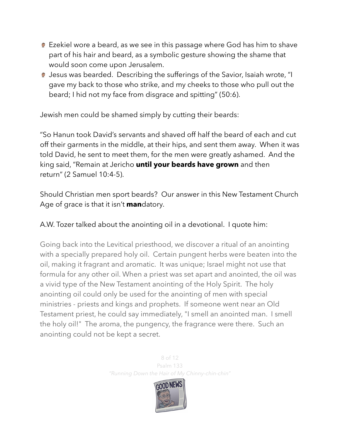- Ezekiel wore a beard, as we see in this passage where God has him to shave part of his hair and beard, as a symbolic gesture showing the shame that would soon come upon Jerusalem.
- **D** Jesus was bearded. Describing the sufferings of the Savior, Isaiah wrote, "I gave my back to those who strike, and my cheeks to those who pull out the beard; I hid not my face from disgrace and spitting" (50:6).

Jewish men could be shamed simply by cutting their beards:

"So Hanun took David's servants and shaved off half the beard of each and cut off their garments in the middle, at their hips, and sent them away. When it was told David, he sent to meet them, for the men were greatly ashamed. And the king said, "Remain at Jericho **until your beards have grown** and then return" (2 Samuel 10:4-5).

Should Christian men sport beards? Our answer in this New Testament Church Age of grace is that it isn't **man**datory.

A.W. Tozer talked about the anointing oil in a devotional. I quote him:

Going back into the Levitical priesthood, we discover a ritual of an anointing with a specially prepared holy oil. Certain pungent herbs were beaten into the oil, making it fragrant and aromatic. It was unique; Israel might not use that formula for any other oil. When a priest was set apart and anointed, the oil was a vivid type of the New Testament anointing of the Holy Spirit. The holy anointing oil could only be used for the anointing of men with special ministries - priests and kings and prophets. If someone went near an Old Testament priest, he could say immediately, "I smell an anointed man. I smell the holy oil!" The aroma, the pungency, the fragrance were there. Such an anointing could not be kept a secret.

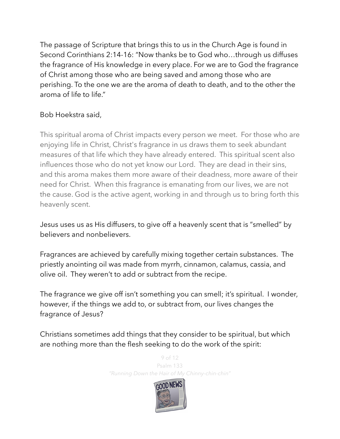The passage of Scripture that brings this to us in the Church Age is found in Second Corinthians 2:14-16: "Now thanks be to God who…through us diffuses the fragrance of His knowledge in every place. For we are to God the fragrance of Christ among those who are being saved and among those who are perishing. To the one we are the aroma of death to death, and to the other the aroma of life to life."

#### Bob Hoekstra said,

This spiritual aroma of Christ impacts every person we meet. For those who are enjoying life in Christ, Christ's fragrance in us draws them to seek abundant measures of that life which they have already entered. This spiritual scent also influences those who do not yet know our Lord. They are dead in their sins, and this aroma makes them more aware of their deadness, more aware of their need for Christ. When this fragrance is emanating from our lives, we are not the cause. God is the active agent, working in and through us to bring forth this heavenly scent.

Jesus uses us as His diffusers, to give off a heavenly scent that is "smelled" by believers and nonbelievers.

Fragrances are achieved by carefully mixing together certain substances. The priestly anointing oil was made from myrrh, cinnamon, calamus, cassia, and olive oil. They weren't to add or subtract from the recipe.

The fragrance we give off isn't something you can smell; it's spiritual. I wonder, however, if the things we add to, or subtract from, our lives changes the fragrance of Jesus?

Christians sometimes add things that they consider to be spiritual, but which are nothing more than the flesh seeking to do the work of the spirit:

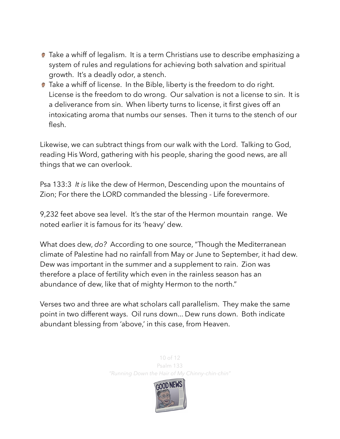- **Take a whiff of legalism.** It is a term Christians use to describe emphasizing a system of rules and regulations for achieving both salvation and spiritual growth. It's a deadly odor, a stench.
- **Take a whiff of license.** In the Bible, liberty is the freedom to do right. License is the freedom to do wrong. Our salvation is not a license to sin. It is a deliverance from sin. When liberty turns to license, it first gives off an intoxicating aroma that numbs our senses. Then it turns to the stench of our flesh.

Likewise, we can subtract things from our walk with the Lord. Talking to God, reading His Word, gathering with his people, sharing the good news, are all things that we can overlook.

Psa 133:3 *It is* like the dew of Hermon, Descending upon the mountains of Zion; For there the LORD commanded the blessing - Life forevermore.

9,232 feet above sea level. It's the star of the Hermon mountain range. We noted earlier it is famous for its 'heavy' dew.

What does dew, *do?* According to one source, "Though the Mediterranean climate of Palestine had no rainfall from May or June to September, it had dew. Dew was important in the summer and a supplement to rain. Zion was therefore a place of fertility which even in the rainless season has an abundance of dew, like that of mighty Hermon to the north."

Verses two and three are what scholars call parallelism. They make the same point in two different ways. Oil runs down... Dew runs down. Both indicate abundant blessing from 'above,' in this case, from Heaven.

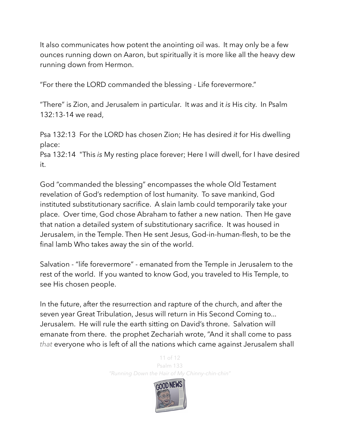It also communicates how potent the anointing oil was. It may only be a few ounces running down on Aaron, but spiritually it is more like all the heavy dew running down from Hermon.

"For there the LORD commanded the blessing - Life forevermore."

"There" is Zion, and Jerusalem in particular. It *was* and it *is* His city. In Psalm 132:13-14 we read,

Psa 132:13 For the LORD has chosen Zion; He has desired *it* for His dwelling place:

Psa 132:14 "This *is* My resting place forever; Here I will dwell, for I have desired it.

God "commanded the blessing" encompasses the whole Old Testament revelation of God's redemption of lost humanity. To save mankind, God instituted substitutionary sacrifice. A slain lamb could temporarily take your place. Over time, God chose Abraham to father a new nation. Then He gave that nation a detailed system of substitutionary sacrifice. It was housed in Jerusalem, in the Temple. Then He sent Jesus, God-in-human-flesh, to be the final lamb Who takes away the sin of the world.

Salvation - "life forevermore" - emanated from the Temple in Jerusalem to the rest of the world. If you wanted to know God, you traveled to His Temple, to see His chosen people.

In the future, after the resurrection and rapture of the church, and after the seven year Great Tribulation, Jesus will return in His Second Coming to... Jerusalem. He will rule the earth sitting on David's throne. Salvation will emanate from there. the prophet Zechariah wrote, "And it shall come to pass *that* everyone who is left of all the nations which came against Jerusalem shall